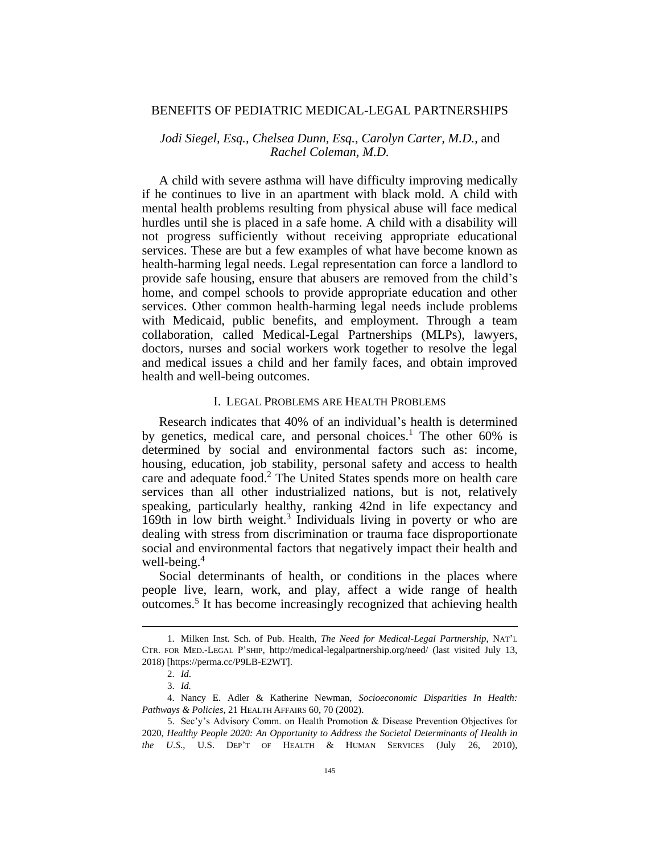#### BENEFITS OF PEDIATRIC MEDICAL-LEGAL PARTNERSHIPS

# *Jodi Siegel, Esq.*, *Chelsea Dunn, Esq.*, *Carolyn Carter, M.D.*, and *Rachel Coleman, M.D.*

A child with severe asthma will have difficulty improving medically if he continues to live in an apartment with black mold. A child with mental health problems resulting from physical abuse will face medical hurdles until she is placed in a safe home. A child with a disability will not progress sufficiently without receiving appropriate educational services. These are but a few examples of what have become known as health-harming legal needs. Legal representation can force a landlord to provide safe housing, ensure that abusers are removed from the child's home, and compel schools to provide appropriate education and other services. Other common health-harming legal needs include problems with Medicaid, public benefits, and employment. Through a team collaboration, called Medical-Legal Partnerships (MLPs), lawyers, doctors, nurses and social workers work together to resolve the legal and medical issues a child and her family faces, and obtain improved health and well-being outcomes.

# I. LEGAL PROBLEMS ARE HEALTH PROBLEMS

Research indicates that 40% of an individual's health is determined by genetics, medical care, and personal choices.<sup>1</sup> The other 60% is determined by social and environmental factors such as: income, housing, education, job stability, personal safety and access to health care and adequate food.<sup>2</sup> The United States spends more on health care services than all other industrialized nations, but is not, relatively speaking, particularly healthy, ranking 42nd in life expectancy and 169th in low birth weight.<sup>3</sup> Individuals living in poverty or who are dealing with stress from discrimination or trauma face disproportionate social and environmental factors that negatively impact their health and well-being.<sup>4</sup>

Social determinants of health, or conditions in the places where people live, learn, work, and play, affect a wide range of health outcomes.<sup>5</sup> It has become increasingly recognized that achieving health

<sup>1.</sup> Milken Inst. Sch. of Pub. Health, *The Need for Medical-Legal Partnership*, NAT'L CTR. FOR MED.-LEGAL P'SHIP, http://medical-legalpartnership.org/need/ (last visited July 13, 2018) [https://perma.cc/P9LB-E2WT].

<sup>2.</sup> *Id*.

<sup>3.</sup> *Id.*

<sup>4.</sup> Nancy E. Adler & Katherine Newman, *Socioeconomic Disparities In Health: Pathways & Policies*, 21 HEALTH AFFAIRS 60, 70 (2002).

<sup>5.</sup> Sec'y's Advisory Comm. on Health Promotion & Disease Prevention Objectives for 2020, *Healthy People 2020: An Opportunity to Address the Societal Determinants of Health in the U.S*., U.S. DEP'T OF HEALTH & HUMAN SERVICES (July 26, 2010),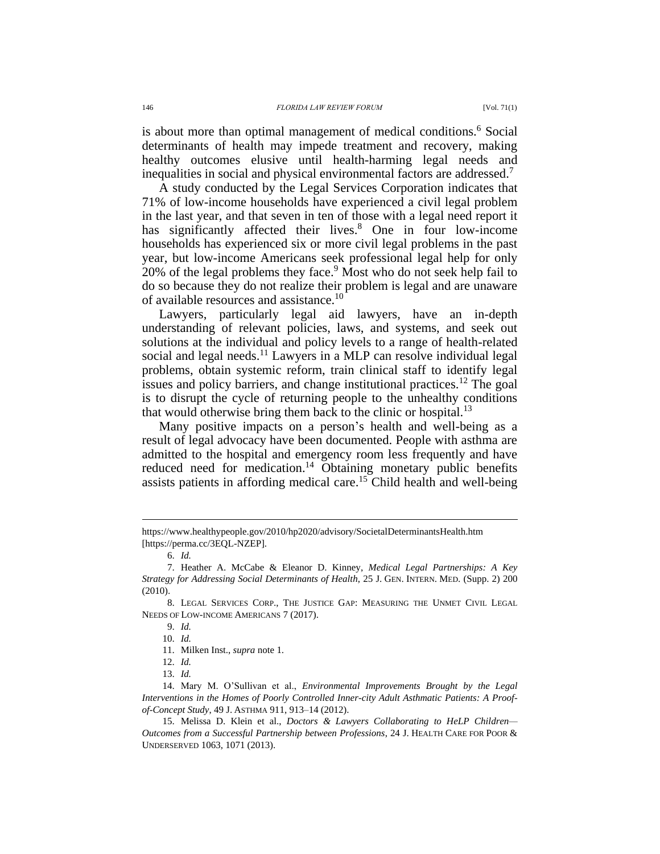is about more than optimal management of medical conditions.<sup>6</sup> Social determinants of health may impede treatment and recovery, making healthy outcomes elusive until health-harming legal needs and inequalities in social and physical environmental factors are addressed.<sup>7</sup>

A study conducted by the Legal Services Corporation indicates that 71% of low-income households have experienced a civil legal problem in the last year, and that seven in ten of those with a legal need report it has significantly affected their lives.<sup>8</sup> One in four low-income households has experienced six or more civil legal problems in the past year, but low-income Americans seek professional legal help for only 20% of the legal problems they face.<sup>9</sup> Most who do not seek help fail to do so because they do not realize their problem is legal and are unaware of available resources and assistance.<sup>10</sup>

Lawyers, particularly legal aid lawyers, have an in-depth understanding of relevant policies, laws, and systems, and seek out solutions at the individual and policy levels to a range of health-related social and legal needs.<sup>11</sup> Lawyers in a MLP can resolve individual legal problems, obtain systemic reform, train clinical staff to identify legal issues and policy barriers, and change institutional practices.<sup>12</sup> The goal is to disrupt the cycle of returning people to the unhealthy conditions that would otherwise bring them back to the clinic or hospital.<sup>13</sup>

Many positive impacts on a person's health and well-being as a result of legal advocacy have been documented. People with asthma are admitted to the hospital and emergency room less frequently and have reduced need for medication.<sup>14</sup> Obtaining monetary public benefits assists patients in affording medical care.<sup>15</sup> Child health and well-being

https://www.healthypeople.gov/2010/hp2020/advisory/SocietalDeterminantsHealth.htm [https://perma.cc/3EQL-NZEP].

<sup>6.</sup> *Id.*

<sup>7.</sup> Heather A. McCabe & Eleanor D. Kinney, *Medical Legal Partnerships: A Key Strategy for Addressing Social Determinants of Health*, 25 J. GEN. INTERN. MED. (Supp. 2) 200 (2010).

<sup>8.</sup> LEGAL SERVICES CORP., THE JUSTICE GAP: MEASURING THE UNMET CIVIL LEGAL NEEDS OF LOW-INCOME AMERICANS 7 (2017).

<sup>9.</sup> *Id.*

<sup>10.</sup> *Id.*

<sup>11.</sup> Milken Inst., *supra* note 1.

<sup>12.</sup> *Id.*

<sup>13.</sup> *Id.*

<sup>14.</sup> Mary M. O'Sullivan et al., *Environmental Improvements Brought by the Legal Interventions in the Homes of Poorly Controlled Inner-city Adult Asthmatic Patients: A Proofof-Concept Study*, 49 J. ASTHMA 911, 913–14 (2012).

<sup>15.</sup> Melissa D. Klein et al., *Doctors & Lawyers Collaborating to HeLP Children— Outcomes from a Successful Partnership between Professions*, 24 J. HEALTH CARE FOR POOR & UNDERSERVED 1063, 1071 (2013).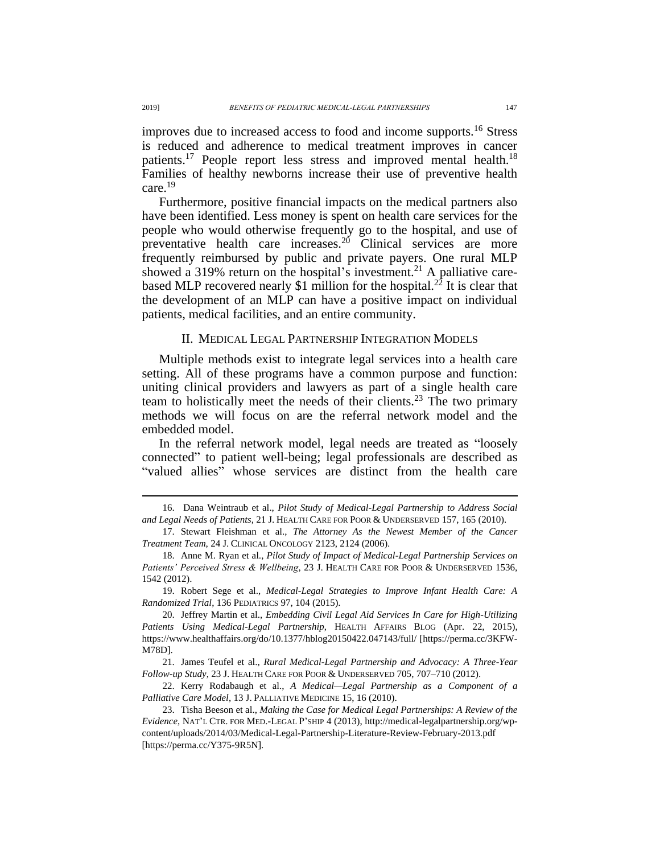improves due to increased access to food and income supports.<sup>16</sup> Stress is reduced and adherence to medical treatment improves in cancer patients.<sup>17</sup> People report less stress and improved mental health.<sup>18</sup> Families of healthy newborns increase their use of preventive health care.<sup>19</sup>

Furthermore, positive financial impacts on the medical partners also have been identified. Less money is spent on health care services for the people who would otherwise frequently go to the hospital, and use of preventative health care increases.<sup>20</sup> Clinical services are more frequently reimbursed by public and private payers. One rural MLP showed a 319% return on the hospital's investment.<sup>21</sup> A palliative carebased MLP recovered nearly \$1 million for the hospital.<sup>22</sup> It is clear that the development of an MLP can have a positive impact on individual patients, medical facilities, and an entire community.

#### II. MEDICAL LEGAL PARTNERSHIP INTEGRATION MODELS

Multiple methods exist to integrate legal services into a health care setting. All of these programs have a common purpose and function: uniting clinical providers and lawyers as part of a single health care team to holistically meet the needs of their clients.<sup>23</sup> The two primary methods we will focus on are the referral network model and the embedded model.

In the referral network model, legal needs are treated as "loosely connected" to patient well-being; legal professionals are described as "valued allies" whose services are distinct from the health care

22. Kerry Rodabaugh et al., *A Medical—Legal Partnership as a Component of a Palliative Care Model*, 13 J. PALLIATIVE MEDICINE 15, 16 (2010).

<sup>16.</sup> Dana Weintraub et al., *Pilot Study of Medical-Legal Partnership to Address Social and Legal Needs of Patients*, 21 J. HEALTH CARE FOR POOR & UNDERSERVED 157, 165 (2010).

<sup>17.</sup> Stewart Fleishman et al., *The Attorney As the Newest Member of the Cancer Treatment Team*, 24 J. CLINICAL ONCOLOGY 2123, 2124 (2006).

<sup>18.</sup> Anne M. Ryan et al., *Pilot Study of Impact of Medical-Legal Partnership Services on Patients' Perceived Stress & Wellbeing*, 23 J. HEALTH CARE FOR POOR & UNDERSERVED 1536, 1542 (2012).

<sup>19.</sup> Robert Sege et al., *Medical-Legal Strategies to Improve Infant Health Care: A Randomized Trial*, 136 PEDIATRICS 97, 104 (2015).

<sup>20.</sup> Jeffrey Martin et al., *Embedding Civil Legal Aid Services In Care for High-Utilizing Patients Using Medical-Legal Partnership*, HEALTH AFFAIRS BLOG (Apr. 22, 2015), https://www.healthaffairs.org/do/10.1377/hblog20150422.047143/full/ [https://perma.cc/3KFW-M78D].

<sup>21.</sup> James Teufel et al., *Rural Medical-Legal Partnership and Advocacy: A Three-Year Follow-up Study*, 23 J. HEALTH CARE FOR POOR & UNDERSERVED 705, 707–710 (2012).

<sup>23.</sup> Tisha Beeson et al., *Making the Case for Medical Legal Partnerships: A Review of the Evidence*, NAT'L CTR. FOR MED.-LEGAL P'SHIP 4 (2013), http://medical-legalpartnership.org/wpcontent/uploads/2014/03/Medical-Legal-Partnership-Literature-Review-February-2013.pdf [https://perma.cc/Y375-9R5N].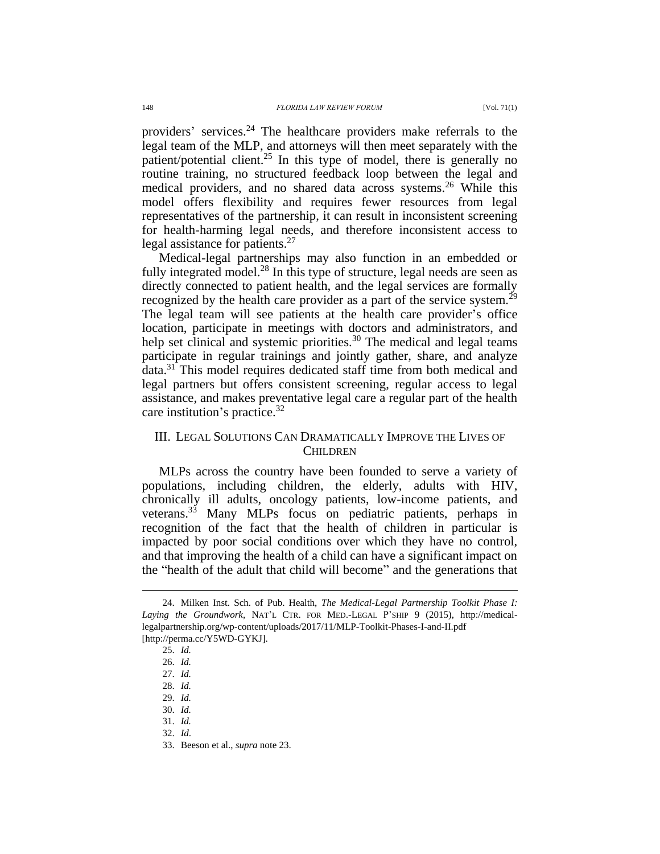providers' services.<sup>24</sup> The healthcare providers make referrals to the legal team of the MLP, and attorneys will then meet separately with the patient/potential client.<sup>25</sup> In this type of model, there is generally no routine training, no structured feedback loop between the legal and medical providers, and no shared data across systems.<sup>26</sup> While this model offers flexibility and requires fewer resources from legal representatives of the partnership, it can result in inconsistent screening for health-harming legal needs, and therefore inconsistent access to legal assistance for patients.<sup>27</sup>

Medical-legal partnerships may also function in an embedded or fully integrated model.<sup>28</sup> In this type of structure, legal needs are seen as directly connected to patient health, and the legal services are formally recognized by the health care provider as a part of the service system.<sup>29</sup> The legal team will see patients at the health care provider's office location, participate in meetings with doctors and administrators, and help set clinical and systemic priorities.<sup>30</sup> The medical and legal teams participate in regular trainings and jointly gather, share, and analyze data.<sup>31</sup> This model requires dedicated staff time from both medical and legal partners but offers consistent screening, regular access to legal assistance, and makes preventative legal care a regular part of the health care institution's practice.  $32$ 

## III. LEGAL SOLUTIONS CAN DRAMATICALLY IMPROVE THE LIVES OF **CHILDREN**

MLPs across the country have been founded to serve a variety of populations, including children, the elderly, adults with HIV, chronically ill adults, oncology patients, low-income patients, and veterans.<sup>33</sup> Many MLPs focus on pediatric patients, perhaps in recognition of the fact that the health of children in particular is impacted by poor social conditions over which they have no control, and that improving the health of a child can have a significant impact on the "health of the adult that child will become" and the generations that

<sup>24.</sup> Milken Inst. Sch. of Pub. Health, *The Medical-Legal Partnership Toolkit Phase I: Laying the Groundwork*, NAT'L CTR. FOR MED.-LEGAL P'SHIP 9 (2015), http://medicallegalpartnership.org/wp-content/uploads/2017/11/MLP-Toolkit-Phases-I-and-II.pdf [http://perma.cc/Y5WD-GYKJ].

<sup>25.</sup> *Id.*

<sup>26.</sup> *Id.*

<sup>27.</sup> *Id.*

<sup>28.</sup> *Id.*

<sup>29.</sup> *Id.*

<sup>30.</sup> *Id.*

<sup>31.</sup> *Id.*

<sup>32.</sup> *Id*.

<sup>33.</sup> Beeson et al., *supra* note 23.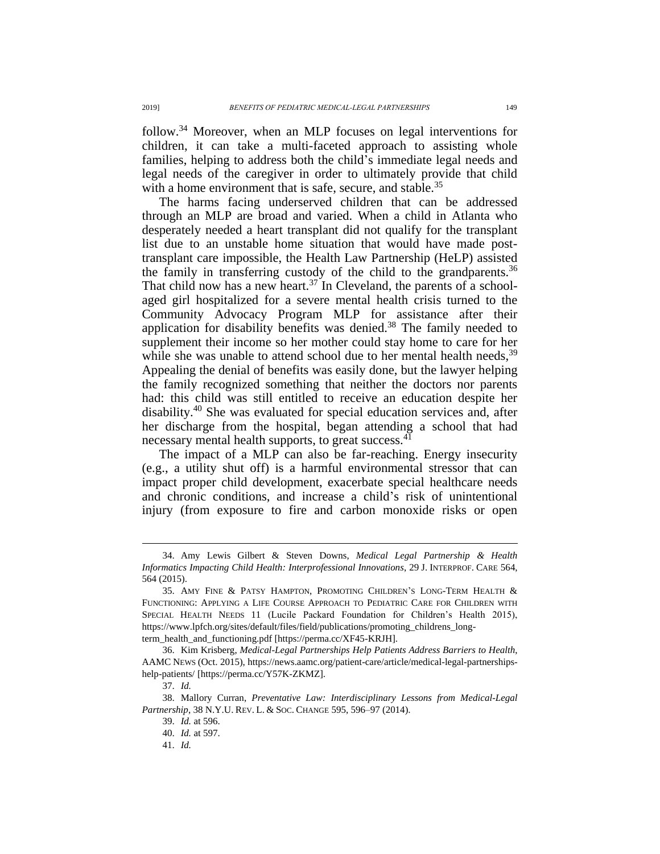follow.<sup>34</sup> Moreover, when an MLP focuses on legal interventions for children, it can take a multi-faceted approach to assisting whole families, helping to address both the child's immediate legal needs and legal needs of the caregiver in order to ultimately provide that child with a home environment that is safe, secure, and stable.<sup>35</sup>

The harms facing underserved children that can be addressed through an MLP are broad and varied. When a child in Atlanta who desperately needed a heart transplant did not qualify for the transplant list due to an unstable home situation that would have made posttransplant care impossible, the Health Law Partnership (HeLP) assisted the family in transferring custody of the child to the grandparents.<sup>36</sup> That child now has a new heart.<sup>37</sup> In Cleveland, the parents of a schoolaged girl hospitalized for a severe mental health crisis turned to the Community Advocacy Program MLP for assistance after their application for disability benefits was denied. $38$  The family needed to supplement their income so her mother could stay home to care for her while she was unable to attend school due to her mental health needs,  $39$ Appealing the denial of benefits was easily done, but the lawyer helping the family recognized something that neither the doctors nor parents had: this child was still entitled to receive an education despite her disability.<sup>40</sup> She was evaluated for special education services and, after her discharge from the hospital, began attending a school that had necessary mental health supports, to great success.<sup>41</sup>

The impact of a MLP can also be far-reaching. Energy insecurity (e.g., a utility shut off) is a harmful environmental stressor that can impact proper child development, exacerbate special healthcare needs and chronic conditions, and increase a child's risk of unintentional injury (from exposure to fire and carbon monoxide risks or open

<sup>34.</sup> Amy Lewis Gilbert & Steven Downs, *Medical Legal Partnership & Health Informatics Impacting Child Health: Interprofessional Innovations*, 29 J. INTERPROF. CARE 564, 564 (2015).

<sup>35.</sup> AMY FINE & PATSY HAMPTON, PROMOTING CHILDREN'S LONG-TERM HEALTH & FUNCTIONING: APPLYING A LIFE COURSE APPROACH TO PEDIATRIC CARE FOR CHILDREN WITH SPECIAL HEALTH NEEDS 11 (Lucile Packard Foundation for Children's Health 2015), https://www.lpfch.org/sites/default/files/field/publications/promoting\_childrens\_longterm\_health\_and\_functioning.pdf [https://perma.cc/XF45-KRJH].

<sup>36.</sup> Kim Krisberg, *Medical-Legal Partnerships Help Patients Address Barriers to Health*, AAMC NEWS (Oct. 2015), https://news.aamc.org/patient-care/article/medical-legal-partnershipshelp-patients/ [https://perma.cc/Y57K-ZKMZ].

<sup>37.</sup> *Id.*

<sup>38.</sup> Mallory Curran, *Preventative Law: Interdisciplinary Lessons from Medical-Legal Partnership*, 38 N.Y.U. REV. L. & SOC. CHANGE 595, 596–97 (2014).

<sup>39.</sup> *Id.* at 596.

<sup>40.</sup> *Id.* at 597.

<sup>41.</sup> *Id.*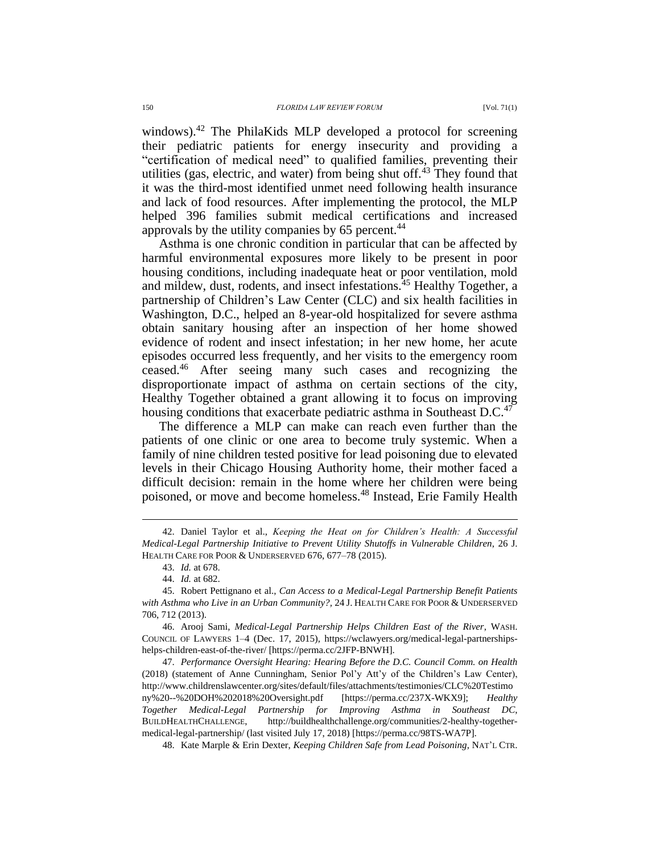windows).<sup>42</sup> The PhilaKids MLP developed a protocol for screening their pediatric patients for energy insecurity and providing a "certification of medical need" to qualified families, preventing their utilities (gas, electric, and water) from being shut off. $43$  They found that it was the third-most identified unmet need following health insurance and lack of food resources. After implementing the protocol, the MLP helped 396 families submit medical certifications and increased approvals by the utility companies by 65 percent.<sup>44</sup>

Asthma is one chronic condition in particular that can be affected by harmful environmental exposures more likely to be present in poor housing conditions, including inadequate heat or poor ventilation, mold and mildew, dust, rodents, and insect infestations.<sup>45</sup> Healthy Together, a partnership of Children's Law Center (CLC) and six health facilities in Washington, D.C., helped an 8-year-old hospitalized for severe asthma obtain sanitary housing after an inspection of her home showed evidence of rodent and insect infestation; in her new home, her acute episodes occurred less frequently, and her visits to the emergency room ceased.<sup>46</sup> After seeing many such cases and recognizing the disproportionate impact of asthma on certain sections of the city, Healthy Together obtained a grant allowing it to focus on improving housing conditions that exacerbate pediatric asthma in Southeast  $D.C.<sup>47</sup>$ 

The difference a MLP can make can reach even further than the patients of one clinic or one area to become truly systemic. When a family of nine children tested positive for lead poisoning due to elevated levels in their Chicago Housing Authority home, their mother faced a difficult decision: remain in the home where her children were being poisoned, or move and become homeless.<sup>48</sup> Instead, Erie Family Health

<sup>42.</sup> Daniel Taylor et al., *Keeping the Heat on for Children's Health: A Successful Medical-Legal Partnership Initiative to Prevent Utility Shutoffs in Vulnerable Children*, 26 J. HEALTH CARE FOR POOR & UNDERSERVED 676, 677–78 (2015).

<sup>43.</sup> *Id.* at 678.

<sup>44.</sup> *Id.* at 682.

<sup>45.</sup> Robert Pettignano et al., *Can Access to a Medical-Legal Partnership Benefit Patients with Asthma who Live in an Urban Community?,* 24 J. HEALTH CARE FOR POOR & UNDERSERVED 706, 712 (2013).

<sup>46.</sup> Arooj Sami, *Medical-Legal Partnership Helps Children East of the River*, WASH. COUNCIL OF LAWYERS 1–4 (Dec. 17, 2015), https://wclawyers.org/medical-legal-partnershipshelps-children-east-of-the-river/ [https://perma.cc/2JFP-BNWH].

<sup>47.</sup> *Performance Oversight Hearing: Hearing Before the D.C. Council Comm. on Health*  (2018) (statement of Anne Cunningham, Senior Pol'y Att'y of the Children's Law Center), http://www.childrenslawcenter.org/sites/default/files/attachments/testimonies/CLC%20Testimo ny%20--%20DOH%202018%20Oversight.pdf [https://perma.cc/237X-WKX9]; *Healthy Together Medical-Legal Partnership for Improving Asthma in Southeast DC*, BUILDHEALTHCHALLENGE, http://buildhealthchallenge.org/communities/2-healthy-togethermedical-legal-partnership/ (last visited July 17, 2018) [https://perma.cc/98TS-WA7P].

<sup>48.</sup> Kate Marple & Erin Dexter, *Keeping Children Safe from Lead Poisoning*, NAT'L CTR.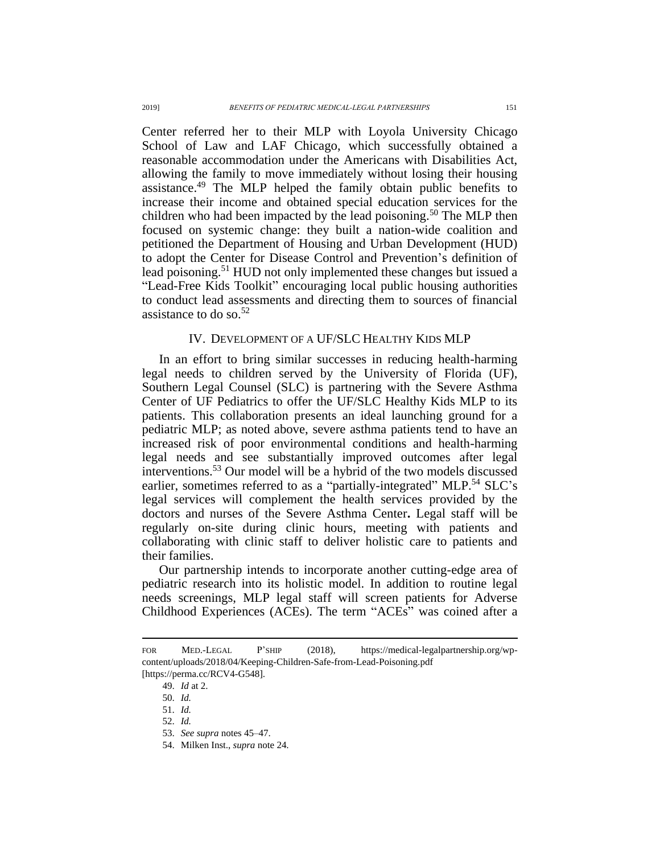Center referred her to their MLP with Loyola University Chicago School of Law and LAF Chicago, which successfully obtained a reasonable accommodation under the Americans with Disabilities Act, allowing the family to move immediately without losing their housing assistance.<sup>49</sup> The MLP helped the family obtain public benefits to increase their income and obtained special education services for the children who had been impacted by the lead poisoning.<sup>50</sup> The MLP then focused on systemic change: they built a nation-wide coalition and petitioned the Department of Housing and Urban Development (HUD) to adopt the Center for Disease Control and Prevention's definition of lead poisoning.<sup>51</sup> HUD not only implemented these changes but issued a "Lead-Free Kids Toolkit" encouraging local public housing authorities to conduct lead assessments and directing them to sources of financial assistance to do so. $52$ 

#### IV. DEVELOPMENT OF A UF/SLC HEALTHY KIDS MLP

In an effort to bring similar successes in reducing health-harming legal needs to children served by the University of Florida (UF), Southern Legal Counsel (SLC) is partnering with the Severe Asthma Center of UF Pediatrics to offer the UF/SLC Healthy Kids MLP to its patients. This collaboration presents an ideal launching ground for a pediatric MLP; as noted above, severe asthma patients tend to have an increased risk of poor environmental conditions and health-harming legal needs and see substantially improved outcomes after legal interventions.<sup>53</sup> Our model will be a hybrid of the two models discussed earlier, sometimes referred to as a "partially-integrated" MLP.<sup>54</sup> SLC's legal services will complement the health services provided by the doctors and nurses of the Severe Asthma Center**.** Legal staff will be regularly on-site during clinic hours, meeting with patients and collaborating with clinic staff to deliver holistic care to patients and their families.

Our partnership intends to incorporate another cutting-edge area of pediatric research into its holistic model. In addition to routine legal needs screenings, MLP legal staff will screen patients for Adverse Childhood Experiences (ACEs). The term "ACEs" was coined after a

FOR MED.-LEGAL P'SHIP (2018), https://medical-legalpartnership.org/wpcontent/uploads/2018/04/Keeping-Children-Safe-from-Lead-Poisoning.pdf [https://perma.cc/RCV4-G548].

<sup>49.</sup> *Id* at 2.

<sup>50.</sup> *Id.*

<sup>51.</sup> *Id.*

<sup>52.</sup> *Id.*

<sup>53.</sup> *See supra* notes 45–47.

<sup>54.</sup> Milken Inst., *supra* note 24.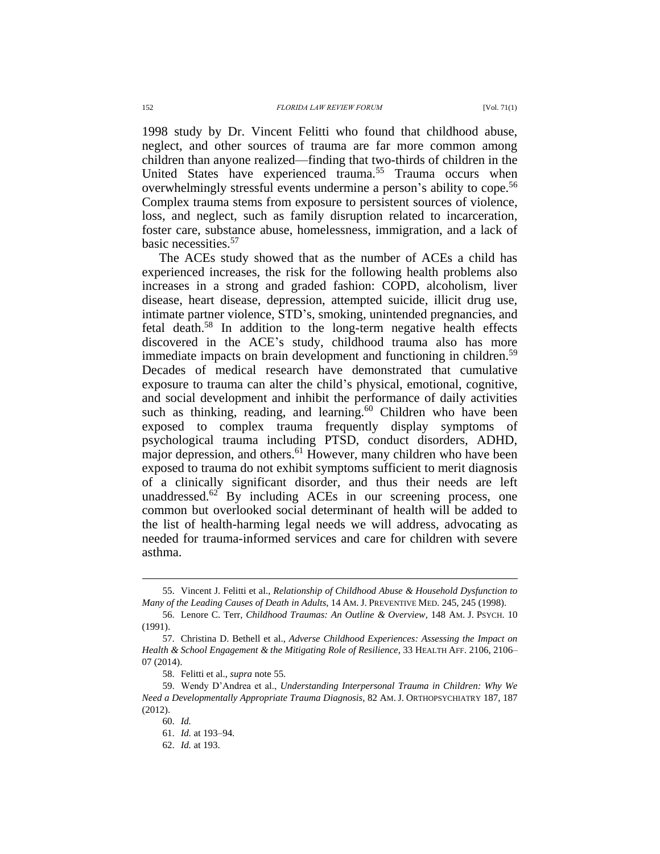1998 study by Dr. Vincent Felitti who found that childhood abuse, neglect, and other sources of trauma are far more common among children than anyone realized—finding that two-thirds of children in the United States have experienced trauma.<sup>55</sup> Trauma occurs when overwhelmingly stressful events undermine a person's ability to cope.<sup>56</sup> Complex trauma stems from exposure to persistent sources of violence, loss, and neglect, such as family disruption related to incarceration, foster care, substance abuse, homelessness, immigration, and a lack of basic necessities.<sup>57</sup>

The ACEs study showed that as the number of ACEs a child has experienced increases, the risk for the following health problems also increases in a strong and graded fashion: COPD, alcoholism, liver disease, heart disease, depression, attempted suicide, illicit drug use, intimate partner violence, STD's, smoking, unintended pregnancies, and fetal death.<sup>58</sup> In addition to the long-term negative health effects discovered in the ACE's study, childhood trauma also has more immediate impacts on brain development and functioning in children.<sup>59</sup> Decades of medical research have demonstrated that cumulative exposure to trauma can alter the child's physical, emotional, cognitive, and social development and inhibit the performance of daily activities such as thinking, reading, and learning. $60$  Children who have been exposed to complex trauma frequently display symptoms of psychological trauma including PTSD, conduct disorders, ADHD, major depression, and others.<sup>61</sup> However, many children who have been exposed to trauma do not exhibit symptoms sufficient to merit diagnosis of a clinically significant disorder, and thus their needs are left unaddressed.<sup>62</sup> By including ACEs in our screening process, one common but overlooked social determinant of health will be added to the list of health-harming legal needs we will address, advocating as needed for trauma-informed services and care for children with severe asthma.

<sup>55.</sup> Vincent J. Felitti et al., *Relationship of Childhood Abuse & Household Dysfunction to Many of the Leading Causes of Death in Adults*, 14 AM. J. PREVENTIVE MED. 245, 245 (1998).

<sup>56.</sup> Lenore C. Terr, *Childhood Traumas: An Outline & Overview*, 148 AM. J. PSYCH. 10 (1991).

<sup>57.</sup> Christina D. Bethell et al., *Adverse Childhood Experiences: Assessing the Impact on Health & School Engagement & the Mitigating Role of Resilience*, 33 HEALTH AFF. 2106, 2106– 07 (2014).

<sup>58.</sup> Felitti et al., *supra* note 55.

<sup>59.</sup> Wendy D'Andrea et al., *Understanding Interpersonal Trauma in Children: Why We Need a Developmentally Appropriate Trauma Diagnosis*, 82 AM. J. ORTHOPSYCHIATRY 187, 187 (2012).

<sup>60.</sup> *Id.*

<sup>61.</sup> *Id.* at 193–94.

<sup>62.</sup> *Id.* at 193.